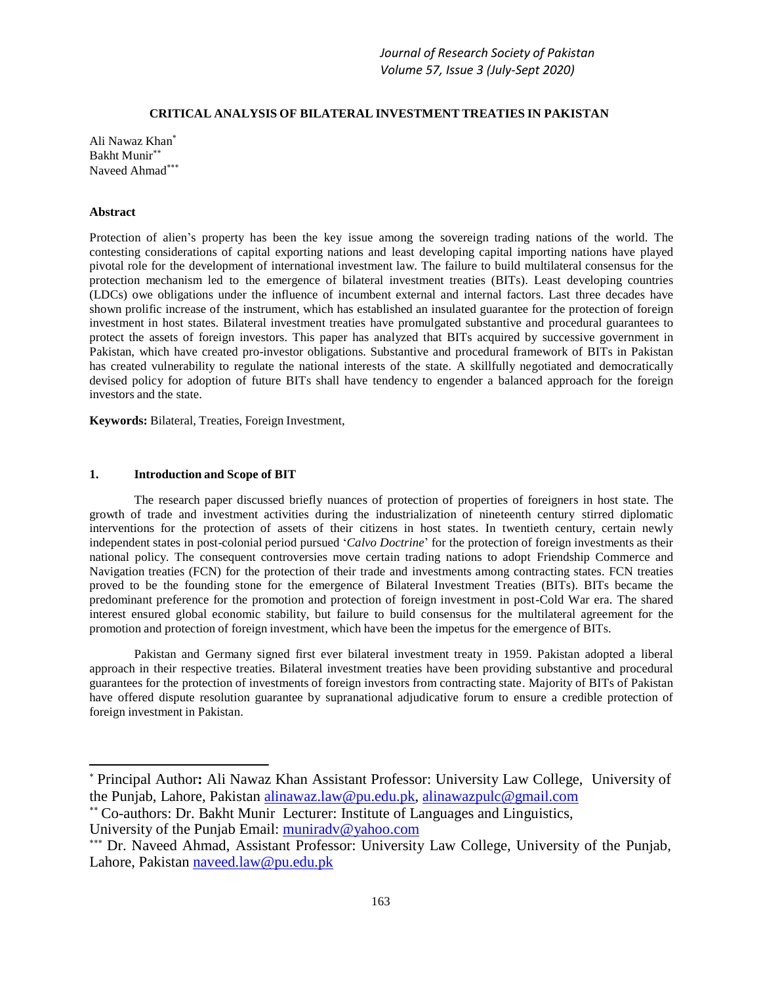### **CRITICAL ANALYSIS OF BILATERAL INVESTMENT TREATIES IN PAKISTAN**

Ali Nawaz Khan Bakht Munir Naveed Ahmad\*\*\*

### **Abstract**

Protection of alien's property has been the key issue among the sovereign trading nations of the world. The contesting considerations of capital exporting nations and least developing capital importing nations have played pivotal role for the development of international investment law. The failure to build multilateral consensus for the protection mechanism led to the emergence of bilateral investment treaties (BITs). Least developing countries (LDCs) owe obligations under the influence of incumbent external and internal factors. Last three decades have shown prolific increase of the instrument, which has established an insulated guarantee for the protection of foreign investment in host states. Bilateral investment treaties have promulgated substantive and procedural guarantees to protect the assets of foreign investors. This paper has analyzed that BITs acquired by successive government in Pakistan, which have created pro-investor obligations. Substantive and procedural framework of BITs in Pakistan has created vulnerability to regulate the national interests of the state. A skillfully negotiated and democratically devised policy for adoption of future BITs shall have tendency to engender a balanced approach for the foreign investors and the state.

**Keywords:** Bilateral, Treaties, Foreign Investment,

### **1. Introduction and Scope of BIT**

The research paper discussed briefly nuances of protection of properties of foreigners in host state. The growth of trade and investment activities during the industrialization of nineteenth century stirred diplomatic interventions for the protection of assets of their citizens in host states. In twentieth century, certain newly independent states in post-colonial period pursued '*Calvo Doctrine*' for the protection of foreign investments as their national policy. The consequent controversies move certain trading nations to adopt Friendship Commerce and Navigation treaties (FCN) for the protection of their trade and investments among contracting states. FCN treaties proved to be the founding stone for the emergence of Bilateral Investment Treaties (BITs). BITs became the predominant preference for the promotion and protection of foreign investment in post-Cold War era. The shared interest ensured global economic stability, but failure to build consensus for the multilateral agreement for the promotion and protection of foreign investment, which have been the impetus for the emergence of BITs.

Pakistan and Germany signed first ever bilateral investment treaty in 1959. Pakistan adopted a liberal approach in their respective treaties. Bilateral investment treaties have been providing substantive and procedural guarantees for the protection of investments of foreign investors from contracting state. Majority of BITs of Pakistan have offered dispute resolution guarantee by supranational adjudicative forum to ensure a credible protection of foreign investment in Pakistan.

Principal Author**:** Ali Nawaz Khan Assistant Professor: University Law College, University of the Punjab, Lahore, Pakistan [alinawaz.law@pu.edu.pk,](mailto:alinawaz.law@pu.edu.pk) [alinawazpulc@gmail.com](mailto:alinawazpulc@gmail.com)

Co-authors: Dr. Bakht Munir Lecturer: Institute of Languages and Linguistics, University of the Punjab Email: munirady@yahoo.com

<sup>\*\*\*</sup> Dr. Naveed Ahmad, Assistant Professor: University Law College, University of the Punjab, Lahore, Pakistan [naveed.law@pu.edu.pk](mailto:naveed.law@pu.edu.pk)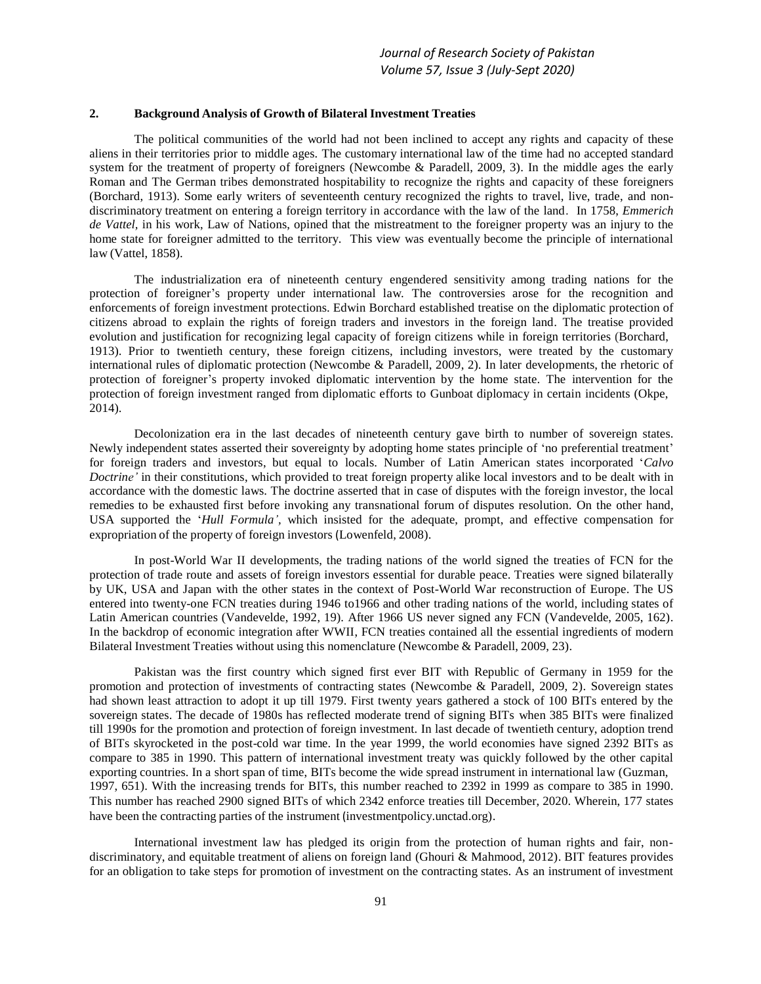### **2. Background Analysis of Growth of Bilateral Investment Treaties**

The political communities of the world had not been inclined to accept any rights and capacity of these aliens in their territories prior to middle ages. The customary international law of the time had no accepted standard system for the treatment of property of foreigners (Newcombe & Paradell, 2009, 3). In the middle ages the early Roman and The German tribes demonstrated hospitability to recognize the rights and capacity of these foreigners (Borchard, 1913). Some early writers of seventeenth century recognized the rights to travel, live, trade, and nondiscriminatory treatment on entering a foreign territory in accordance with the law of the land. In 1758, *Emmerich de Vattel,* in his work, Law of Nations, opined that the mistreatment to the foreigner property was an injury to the home state for foreigner admitted to the territory. This view was eventually become the principle of international law (Vattel, 1858).

The industrialization era of nineteenth century engendered sensitivity among trading nations for the protection of foreigner's property under international law. The controversies arose for the recognition and enforcements of foreign investment protections. Edwin Borchard established treatise on the diplomatic protection of citizens abroad to explain the rights of foreign traders and investors in the foreign land. The treatise provided evolution and justification for recognizing legal capacity of foreign citizens while in foreign territories (Borchard, 1913). Prior to twentieth century, these foreign citizens, including investors, were treated by the customary international rules of diplomatic protection (Newcombe & Paradell, 2009, 2). In later developments, the rhetoric of protection of foreigner's property invoked diplomatic intervention by the home state. The intervention for the protection of foreign investment ranged from diplomatic efforts to Gunboat diplomacy in certain incidents (Okpe, 2014).

Decolonization era in the last decades of nineteenth century gave birth to number of sovereign states. Newly independent states asserted their sovereignty by adopting home states principle of 'no preferential treatment' for foreign traders and investors, but equal to locals. Number of Latin American states incorporated '*Calvo Doctrine'* in their constitutions, which provided to treat foreign property alike local investors and to be dealt with in accordance with the domestic laws. The doctrine asserted that in case of disputes with the foreign investor, the local remedies to be exhausted first before invoking any transnational forum of disputes resolution. On the other hand, USA supported the '*Hull Formula',* which insisted for the adequate, prompt, and effective compensation for expropriation of the property of foreign investors (Lowenfeld, 2008).

In post-World War II developments, the trading nations of the world signed the treaties of FCN for the protection of trade route and assets of foreign investors essential for durable peace. Treaties were signed bilaterally by UK, USA and Japan with the other states in the context of Post-World War reconstruction of Europe. The US entered into twenty-one FCN treaties during 1946 to1966 and other trading nations of the world, including states of Latin American countries (Vandevelde, 1992, 19). After 1966 US never signed any FCN (Vandevelde, 2005, 162). In the backdrop of economic integration after WWII, FCN treaties contained all the essential ingredients of modern Bilateral Investment Treaties without using this nomenclature (Newcombe & Paradell, 2009, 23).

Pakistan was the first country which signed first ever BIT with Republic of Germany in 1959 for the promotion and protection of investments of contracting states (Newcombe & Paradell, 2009, 2). Sovereign states had shown least attraction to adopt it up till 1979. First twenty years gathered a stock of 100 BITs entered by the sovereign states. The decade of 1980s has reflected moderate trend of signing BITs when 385 BITs were finalized till 1990s for the promotion and protection of foreign investment. In last decade of twentieth century, adoption trend of BITs skyrocketed in the post-cold war time. In the year 1999, the world economies have signed 2392 BITs as compare to 385 in 1990. This pattern of international investment treaty was quickly followed by the other capital exporting countries. In a short span of time, BITs become the wide spread instrument in international law (Guzman, 1997, 651). With the increasing trends for BITs, this number reached to 2392 in 1999 as compare to 385 in 1990. This number has reached 2900 signed BITs of which 2342 enforce treaties till December, 2020. Wherein, 177 states have been the contracting parties of the instrument (investmentpolicy.unctad.org).

International investment law has pledged its origin from the protection of human rights and fair, nondiscriminatory, and equitable treatment of aliens on foreign land (Ghouri & Mahmood, 2012). BIT features provides for an obligation to take steps for promotion of investment on the contracting states. As an instrument of investment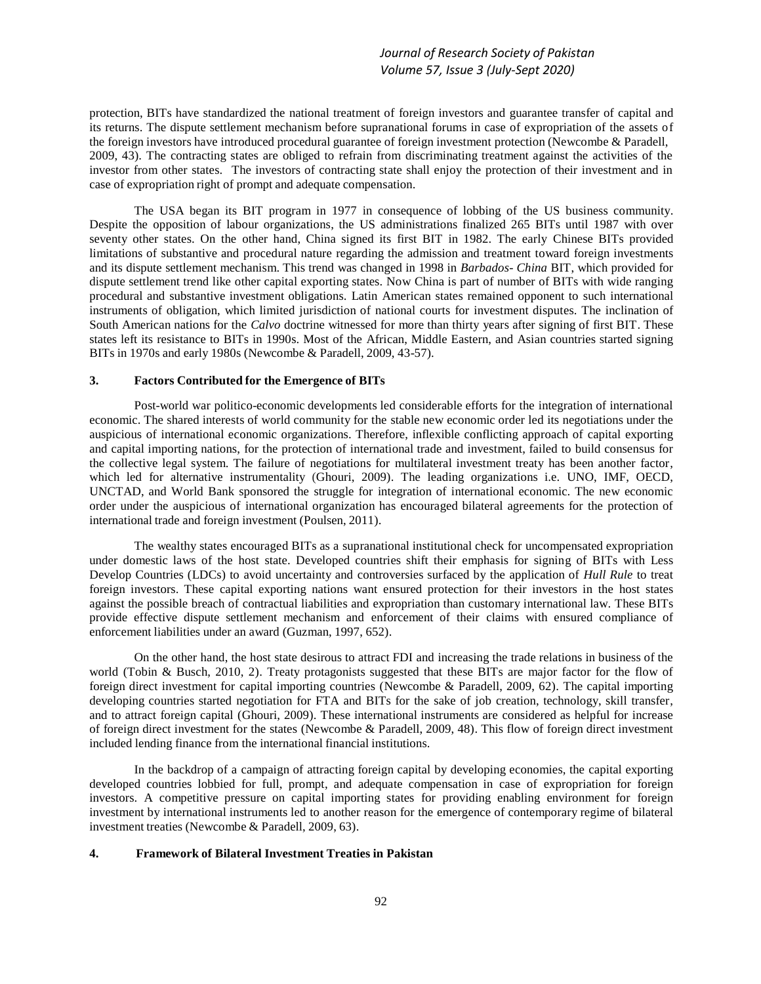protection, BITs have standardized the national treatment of foreign investors and guarantee transfer of capital and its returns. The dispute settlement mechanism before supranational forums in case of expropriation of the assets of the foreign investors have introduced procedural guarantee of foreign investment protection (Newcombe & Paradell, 2009, 43). The contracting states are obliged to refrain from discriminating treatment against the activities of the investor from other states. The investors of contracting state shall enjoy the protection of their investment and in case of expropriation right of prompt and adequate compensation.

The USA began its BIT program in 1977 in consequence of lobbing of the US business community. Despite the opposition of labour organizations, the US administrations finalized 265 BITs until 1987 with over seventy other states. On the other hand, China signed its first BIT in 1982. The early Chinese BITs provided limitations of substantive and procedural nature regarding the admission and treatment toward foreign investments and its dispute settlement mechanism. This trend was changed in 1998 in *Barbados- China* BIT, which provided for dispute settlement trend like other capital exporting states. Now China is part of number of BITs with wide ranging procedural and substantive investment obligations. Latin American states remained opponent to such international instruments of obligation, which limited jurisdiction of national courts for investment disputes. The inclination of South American nations for the *Calvo* doctrine witnessed for more than thirty years after signing of first BIT. These states left its resistance to BITs in 1990s. Most of the African, Middle Eastern, and Asian countries started signing BITs in 1970s and early 1980s (Newcombe & Paradell, 2009, 43-57).

### **3. Factors Contributed for the Emergence of BITs**

Post-world war politico-economic developments led considerable efforts for the integration of international economic. The shared interests of world community for the stable new economic order led its negotiations under the auspicious of international economic organizations. Therefore, inflexible conflicting approach of capital exporting and capital importing nations, for the protection of international trade and investment, failed to build consensus for the collective legal system. The failure of negotiations for multilateral investment treaty has been another factor, which led for alternative instrumentality (Ghouri, 2009). The leading organizations i.e. UNO, IMF, OECD, UNCTAD, and World Bank sponsored the struggle for integration of international economic. The new economic order under the auspicious of international organization has encouraged bilateral agreements for the protection of international trade and foreign investment (Poulsen, 2011).

The wealthy states encouraged BITs as a supranational institutional check for uncompensated expropriation under domestic laws of the host state. Developed countries shift their emphasis for signing of BITs with Less Develop Countries (LDCs) to avoid uncertainty and controversies surfaced by the application of *Hull Rule* to treat foreign investors. These capital exporting nations want ensured protection for their investors in the host states against the possible breach of contractual liabilities and expropriation than customary international law. These BITs provide effective dispute settlement mechanism and enforcement of their claims with ensured compliance of enforcement liabilities under an award (Guzman, 1997, 652).

On the other hand, the host state desirous to attract FDI and increasing the trade relations in business of the world (Tobin & Busch, 2010, 2). Treaty protagonists suggested that these BITs are major factor for the flow of foreign direct investment for capital importing countries (Newcombe & Paradell, 2009, 62). The capital importing developing countries started negotiation for FTA and BITs for the sake of job creation, technology, skill transfer, and to attract foreign capital (Ghouri, 2009). These international instruments are considered as helpful for increase of foreign direct investment for the states (Newcombe & Paradell, 2009, 48). This flow of foreign direct investment included lending finance from the international financial institutions.

In the backdrop of a campaign of attracting foreign capital by developing economies, the capital exporting developed countries lobbied for full, prompt, and adequate compensation in case of expropriation for foreign investors. A competitive pressure on capital importing states for providing enabling environment for foreign investment by international instruments led to another reason for the emergence of contemporary regime of bilateral investment treaties (Newcombe & Paradell, 2009, 63).

# **4. Framework of Bilateral Investment Treaties in Pakistan**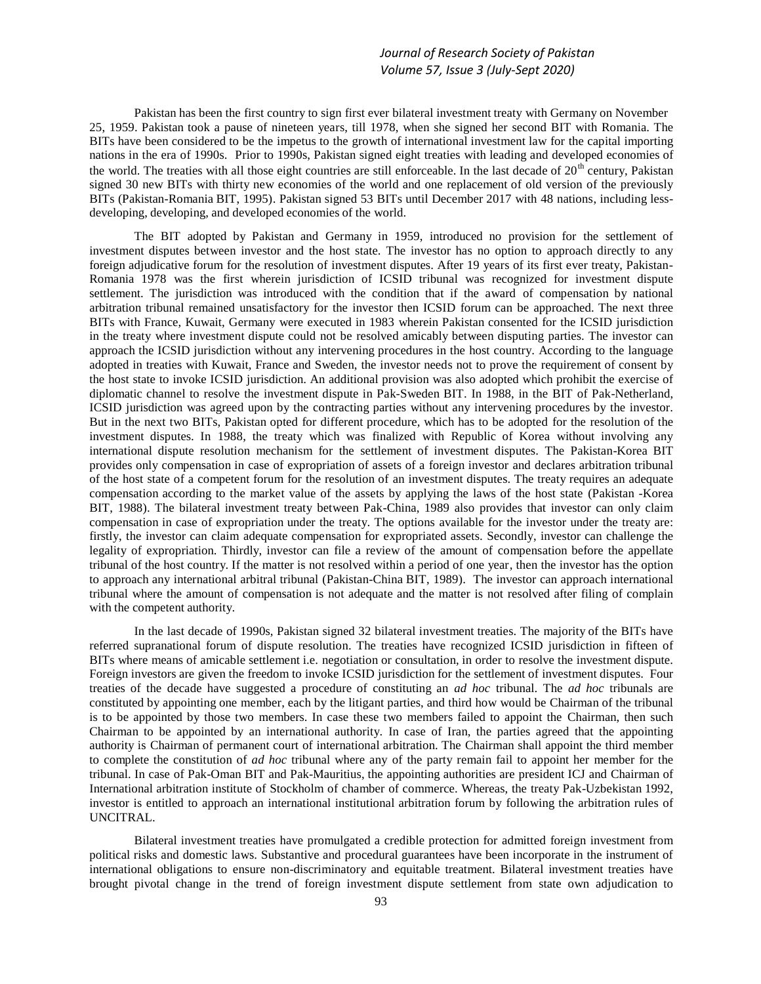Pakistan has been the first country to sign first ever bilateral investment treaty with Germany on November 25, 1959. Pakistan took a pause of nineteen years, till 1978, when she signed her second BIT with Romania. The BITs have been considered to be the impetus to the growth of international investment law for the capital importing nations in the era of 1990s. Prior to 1990s, Pakistan signed eight treaties with leading and developed economies of the world. The treaties with all those eight countries are still enforceable. In the last decade of 20<sup>th</sup> century, Pakistan signed 30 new BITs with thirty new economies of the world and one replacement of old version of the previously BITs (Pakistan-Romania BIT, 1995). Pakistan signed 53 BITs until December 2017 with 48 nations, including lessdeveloping, developing, and developed economies of the world.

The BIT adopted by Pakistan and Germany in 1959, introduced no provision for the settlement of investment disputes between investor and the host state. The investor has no option to approach directly to any foreign adjudicative forum for the resolution of investment disputes. After 19 years of its first ever treaty, Pakistan-Romania 1978 was the first wherein jurisdiction of ICSID tribunal was recognized for investment dispute settlement. The jurisdiction was introduced with the condition that if the award of compensation by national arbitration tribunal remained unsatisfactory for the investor then ICSID forum can be approached. The next three BITs with France, Kuwait, Germany were executed in 1983 wherein Pakistan consented for the ICSID jurisdiction in the treaty where investment dispute could not be resolved amicably between disputing parties. The investor can approach the ICSID jurisdiction without any intervening procedures in the host country. According to the language adopted in treaties with Kuwait, France and Sweden, the investor needs not to prove the requirement of consent by the host state to invoke ICSID jurisdiction. An additional provision was also adopted which prohibit the exercise of diplomatic channel to resolve the investment dispute in Pak-Sweden BIT. In 1988, in the BIT of Pak-Netherland, ICSID jurisdiction was agreed upon by the contracting parties without any intervening procedures by the investor. But in the next two BITs, Pakistan opted for different procedure, which has to be adopted for the resolution of the investment disputes. In 1988, the treaty which was finalized with Republic of Korea without involving any international dispute resolution mechanism for the settlement of investment disputes. The Pakistan-Korea BIT provides only compensation in case of expropriation of assets of a foreign investor and declares arbitration tribunal of the host state of a competent forum for the resolution of an investment disputes. The treaty requires an adequate compensation according to the market value of the assets by applying the laws of the host state (Pakistan -Korea BIT, 1988). The bilateral investment treaty between Pak-China, 1989 also provides that investor can only claim compensation in case of expropriation under the treaty. The options available for the investor under the treaty are: firstly, the investor can claim adequate compensation for expropriated assets. Secondly, investor can challenge the legality of expropriation. Thirdly, investor can file a review of the amount of compensation before the appellate tribunal of the host country. If the matter is not resolved within a period of one year, then the investor has the option to approach any international arbitral tribunal (Pakistan-China BIT, 1989). The investor can approach international tribunal where the amount of compensation is not adequate and the matter is not resolved after filing of complain with the competent authority.

In the last decade of 1990s, Pakistan signed 32 bilateral investment treaties. The majority of the BITs have referred supranational forum of dispute resolution. The treaties have recognized ICSID jurisdiction in fifteen of BITs where means of amicable settlement i.e. negotiation or consultation, in order to resolve the investment dispute. Foreign investors are given the freedom to invoke ICSID jurisdiction for the settlement of investment disputes. Four treaties of the decade have suggested a procedure of constituting an *ad hoc* tribunal. The *ad hoc* tribunals are constituted by appointing one member, each by the litigant parties, and third how would be Chairman of the tribunal is to be appointed by those two members. In case these two members failed to appoint the Chairman, then such Chairman to be appointed by an international authority. In case of Iran, the parties agreed that the appointing authority is Chairman of permanent court of international arbitration. The Chairman shall appoint the third member to complete the constitution of *ad hoc* tribunal where any of the party remain fail to appoint her member for the tribunal. In case of Pak-Oman BIT and Pak-Mauritius, the appointing authorities are president ICJ and Chairman of International arbitration institute of Stockholm of chamber of commerce. Whereas, the treaty Pak-Uzbekistan 1992, investor is entitled to approach an international institutional arbitration forum by following the arbitration rules of UNCITRAL.

Bilateral investment treaties have promulgated a credible protection for admitted foreign investment from political risks and domestic laws. Substantive and procedural guarantees have been incorporate in the instrument of international obligations to ensure non-discriminatory and equitable treatment. Bilateral investment treaties have brought pivotal change in the trend of foreign investment dispute settlement from state own adjudication to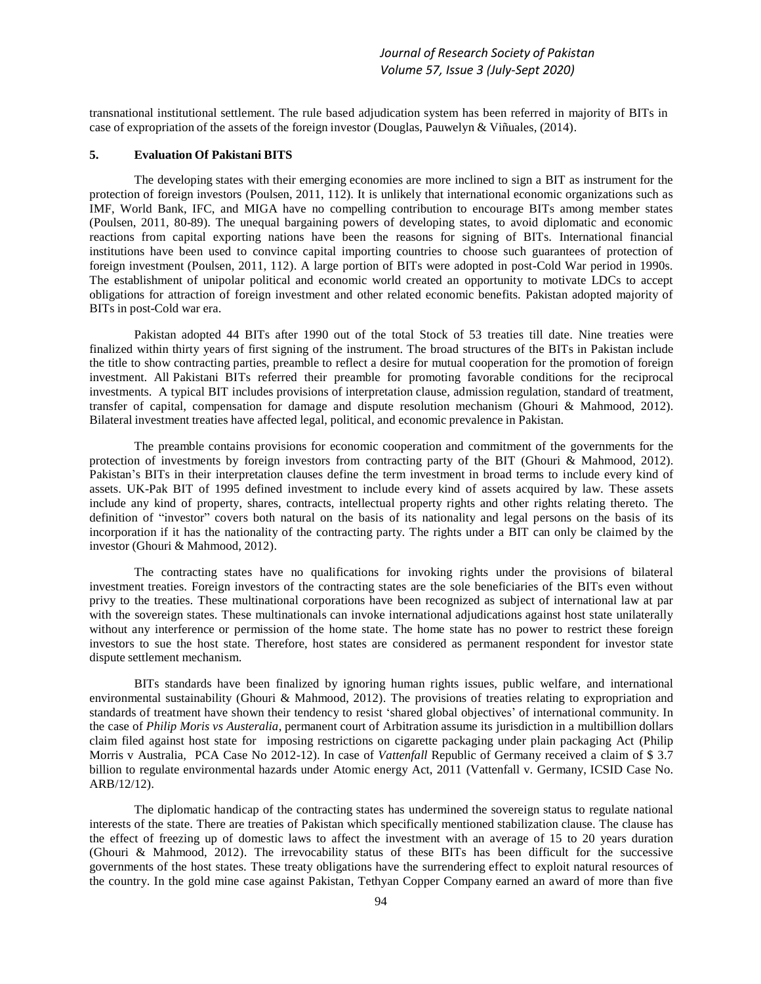transnational institutional settlement. The rule based adjudication system has been referred in majority of BITs in case of expropriation of the assets of the foreign investor (Douglas, Pauwelyn & Viñuales, (2014).

## **5. Evaluation Of Pakistani BITS**

The developing states with their emerging economies are more inclined to sign a BIT as instrument for the protection of foreign investors (Poulsen, 2011, 112). It is unlikely that international economic organizations such as IMF, World Bank, IFC, and MIGA have no compelling contribution to encourage BITs among member states (Poulsen, 2011, 80-89). The unequal bargaining powers of developing states, to avoid diplomatic and economic reactions from capital exporting nations have been the reasons for signing of BITs. International financial institutions have been used to convince capital importing countries to choose such guarantees of protection of foreign investment (Poulsen, 2011, 112). A large portion of BITs were adopted in post-Cold War period in 1990s. The establishment of unipolar political and economic world created an opportunity to motivate LDCs to accept obligations for attraction of foreign investment and other related economic benefits. Pakistan adopted majority of BITs in post-Cold war era.

Pakistan adopted 44 BITs after 1990 out of the total Stock of 53 treaties till date. Nine treaties were finalized within thirty years of first signing of the instrument. The broad structures of the BITs in Pakistan include the title to show contracting parties, preamble to reflect a desire for mutual cooperation for the promotion of foreign investment. All Pakistani BITs referred their preamble for promoting favorable conditions for the reciprocal investments. A typical BIT includes provisions of interpretation clause, admission regulation, standard of treatment, transfer of capital, compensation for damage and dispute resolution mechanism (Ghouri & Mahmood, 2012). Bilateral investment treaties have affected legal, political, and economic prevalence in Pakistan.

The preamble contains provisions for economic cooperation and commitment of the governments for the protection of investments by foreign investors from contracting party of the BIT (Ghouri & Mahmood, 2012). Pakistan's BITs in their interpretation clauses define the term investment in broad terms to include every kind of assets. UK-Pak BIT of 1995 defined investment to include every kind of assets acquired by law. These assets include any kind of property, shares, contracts, intellectual property rights and other rights relating thereto. The definition of "investor" covers both natural on the basis of its nationality and legal persons on the basis of its incorporation if it has the nationality of the contracting party. The rights under a BIT can only be claimed by the investor (Ghouri & Mahmood, 2012).

The contracting states have no qualifications for invoking rights under the provisions of bilateral investment treaties. Foreign investors of the contracting states are the sole beneficiaries of the BITs even without privy to the treaties. These multinational corporations have been recognized as subject of international law at par with the sovereign states. These multinationals can invoke international adjudications against host state unilaterally without any interference or permission of the home state. The home state has no power to restrict these foreign investors to sue the host state. Therefore, host states are considered as permanent respondent for investor state dispute settlement mechanism.

BITs standards have been finalized by ignoring human rights issues, public welfare, and international environmental sustainability (Ghouri & Mahmood, 2012). The provisions of treaties relating to expropriation and standards of treatment have shown their tendency to resist 'shared global objectives' of international community. In the case of *Philip Moris vs Austeralia*, permanent court of Arbitration assume its jurisdiction in a multibillion dollars claim filed against host state for imposing restrictions on cigarette packaging under plain packaging Act (Philip Morris v Australia, PCA Case No 2012-12). In case of *Vattenfall* Republic of Germany received a claim of \$ 3.7 billion to regulate environmental hazards under Atomic energy Act, 2011 (Vattenfall v. Germany, ICSID Case No. ARB/12/12).

The diplomatic handicap of the contracting states has undermined the sovereign status to regulate national interests of the state. There are treaties of Pakistan which specifically mentioned stabilization clause. The clause has the effect of freezing up of domestic laws to affect the investment with an average of 15 to 20 years duration (Ghouri & Mahmood, 2012). The irrevocability status of these BITs has been difficult for the successive governments of the host states. These treaty obligations have the surrendering effect to exploit natural resources of the country. In the gold mine case against Pakistan, Tethyan Copper Company earned an award of more than five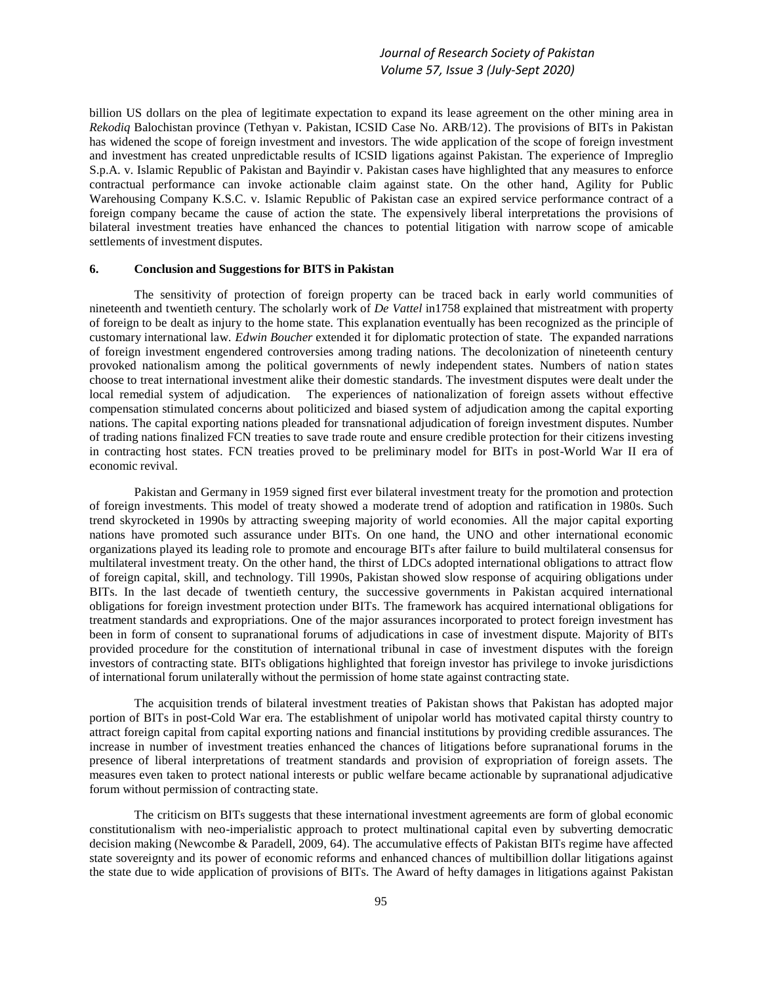billion US dollars on the plea of legitimate expectation to expand its lease agreement on the other mining area in *Rekodiq* Balochistan province (Tethyan v. Pakistan, ICSID Case No. ARB/12). The provisions of BITs in Pakistan has widened the scope of foreign investment and investors. The wide application of the scope of foreign investment and investment has created unpredictable results of ICSID ligations against Pakistan. The experience of Impreglio S.p.A. v. Islamic Republic of Pakistan and Bayindir v. Pakistan cases have highlighted that any measures to enforce contractual performance can invoke actionable claim against state. On the other hand, Agility for Public Warehousing Company K.S.C. v. Islamic Republic of Pakistan case an expired service performance contract of a foreign company became the cause of action the state. The expensively liberal interpretations the provisions of bilateral investment treaties have enhanced the chances to potential litigation with narrow scope of amicable settlements of investment disputes.

# **6. Conclusion and Suggestions for BITS in Pakistan**

The sensitivity of protection of foreign property can be traced back in early world communities of nineteenth and twentieth century. The scholarly work of *De Vattel* in1758 explained that mistreatment with property of foreign to be dealt as injury to the home state. This explanation eventually has been recognized as the principle of customary international law. *Edwin Boucher* extended it for diplomatic protection of state. The expanded narrations of foreign investment engendered controversies among trading nations. The decolonization of nineteenth century provoked nationalism among the political governments of newly independent states. Numbers of nation states choose to treat international investment alike their domestic standards. The investment disputes were dealt under the local remedial system of adjudication. The experiences of nationalization of foreign assets without effective compensation stimulated concerns about politicized and biased system of adjudication among the capital exporting nations. The capital exporting nations pleaded for transnational adjudication of foreign investment disputes. Number of trading nations finalized FCN treaties to save trade route and ensure credible protection for their citizens investing in contracting host states. FCN treaties proved to be preliminary model for BITs in post-World War II era of economic revival.

Pakistan and Germany in 1959 signed first ever bilateral investment treaty for the promotion and protection of foreign investments. This model of treaty showed a moderate trend of adoption and ratification in 1980s. Such trend skyrocketed in 1990s by attracting sweeping majority of world economies. All the major capital exporting nations have promoted such assurance under BITs. On one hand, the UNO and other international economic organizations played its leading role to promote and encourage BITs after failure to build multilateral consensus for multilateral investment treaty. On the other hand, the thirst of LDCs adopted international obligations to attract flow of foreign capital, skill, and technology. Till 1990s, Pakistan showed slow response of acquiring obligations under BITs. In the last decade of twentieth century, the successive governments in Pakistan acquired international obligations for foreign investment protection under BITs. The framework has acquired international obligations for treatment standards and expropriations. One of the major assurances incorporated to protect foreign investment has been in form of consent to supranational forums of adjudications in case of investment dispute. Majority of BITs provided procedure for the constitution of international tribunal in case of investment disputes with the foreign investors of contracting state. BITs obligations highlighted that foreign investor has privilege to invoke jurisdictions of international forum unilaterally without the permission of home state against contracting state.

The acquisition trends of bilateral investment treaties of Pakistan shows that Pakistan has adopted major portion of BITs in post-Cold War era. The establishment of unipolar world has motivated capital thirsty country to attract foreign capital from capital exporting nations and financial institutions by providing credible assurances. The increase in number of investment treaties enhanced the chances of litigations before supranational forums in the presence of liberal interpretations of treatment standards and provision of expropriation of foreign assets. The measures even taken to protect national interests or public welfare became actionable by supranational adjudicative forum without permission of contracting state.

The criticism on BITs suggests that these international investment agreements are form of global economic constitutionalism with neo-imperialistic approach to protect multinational capital even by subverting democratic decision making (Newcombe & Paradell, 2009, 64). The accumulative effects of Pakistan BITs regime have affected state sovereignty and its power of economic reforms and enhanced chances of multibillion dollar litigations against the state due to wide application of provisions of BITs. The Award of hefty damages in litigations against Pakistan